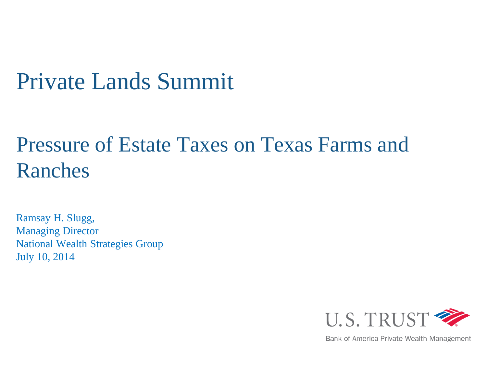# Private Lands Summit

# Pressure of Estate Taxes on Texas Farms and Ranches

Ramsay H. Slugg, Managing Director National Wealth Strategies Group July 10, 2014



Bank of America Private Wealth Management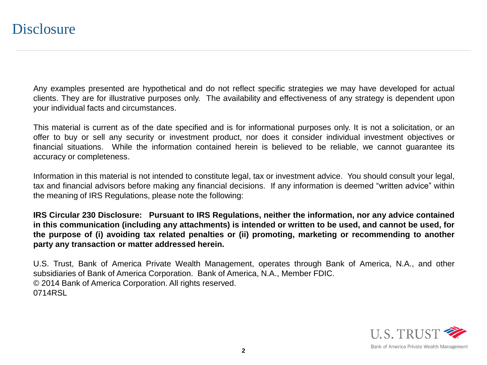Any examples presented are hypothetical and do not reflect specific strategies we may have developed for actual clients. They are for illustrative purposes only. The availability and effectiveness of any strategy is dependent upon your individual facts and circumstances.

This material is current as of the date specified and is for informational purposes only. It is not a solicitation, or an offer to buy or sell any security or investment product, nor does it consider individual investment objectives or financial situations. While the information contained herein is believed to be reliable, we cannot guarantee its accuracy or completeness.

Information in this material is not intended to constitute legal, tax or investment advice. You should consult your legal, tax and financial advisors before making any financial decisions. If any information is deemed "written advice" within the meaning of IRS Regulations, please note the following:

**IRS Circular 230 Disclosure: Pursuant to IRS Regulations, neither the information, nor any advice contained** in this communication (including any attachments) is intended or written to be used, and cannot be used, for **the purpose of (i) avoiding tax related penalties or (ii) promoting, marketing or recommending to another party any transaction or matter addressed herein.**

U.S. Trust, Bank of America Private Wealth Management, operates through Bank of America, N.A., and other subsidiaries of Bank of America Corporation. Bank of America, N.A., Member FDIC. © 2014 Bank of America Corporation. All rights reserved. 0714RSL

**2**

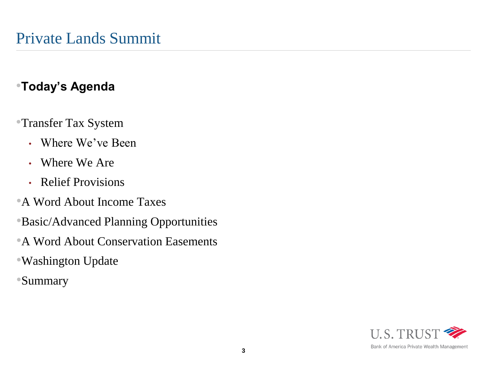# •**Today's Agenda**

- •Transfer Tax System
	- Where We've Been
	- Where We Are
	- Relief Provisions
- •A Word About Income Taxes
- •Basic/Advanced Planning Opportunities
- •A Word About Conservation Easements
- •Washington Update
- •Summary

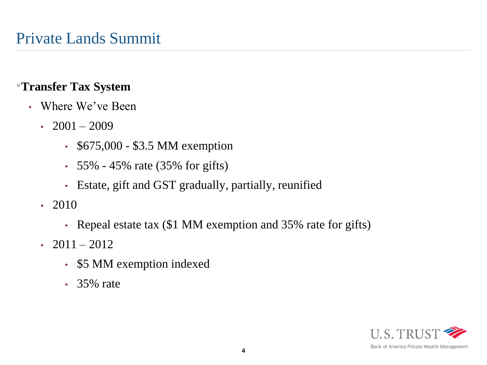- Where We've Been
	- $2001 2009$ 
		- \$675,000 \$3.5 MM exemption
		- 55% 45% rate  $(35\% \text{ for } \text{gifts})$
		- Estate, gift and GST gradually, partially, reunified
	- 2010
		- Repeal estate tax (\$1 MM exemption and 35% rate for gifts)
	- 2011 2012
		- \$5 MM exemption indexed
		- 35% rate

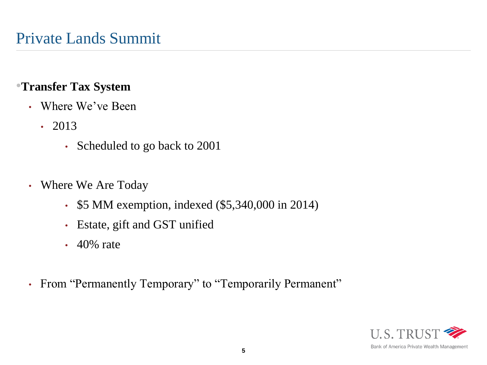- Where We've Been
	- 2013
		- Scheduled to go back to 2001
- Where We Are Today
	- \$5 MM exemption, indexed (\$5,340,000 in 2014)
	- Estate, gift and GST unified
	- 40% rate
- From "Permanently Temporary" to "Temporarily Permanent"

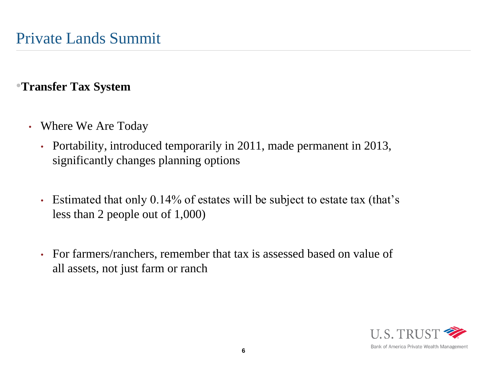- Where We Are Today
	- Portability, introduced temporarily in 2011, made permanent in 2013, significantly changes planning options
	- Estimated that only 0.14% of estates will be subject to estate tax (that's less than 2 people out of 1,000)
	- For farmers/ranchers, remember that tax is assessed based on value of all assets, not just farm or ranch

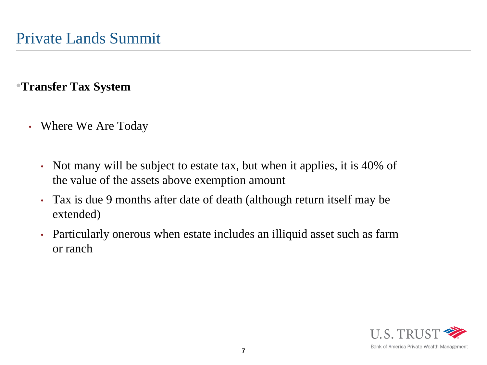- Where We Are Today
	- Not many will be subject to estate tax, but when it applies, it is 40% of the value of the assets above exemption amount
	- Tax is due 9 months after date of death (although return itself may be extended)
	- Particularly onerous when estate includes an illiquid asset such as farm or ranch

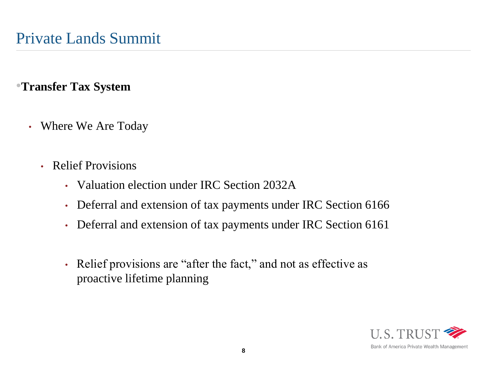- Where We Are Today
	- Relief Provisions
		- Valuation election under IRC Section 2032A
		- Deferral and extension of tax payments under IRC Section 6166
		- Deferral and extension of tax payments under IRC Section 6161
		- Relief provisions are "after the fact," and not as effective as proactive lifetime planning

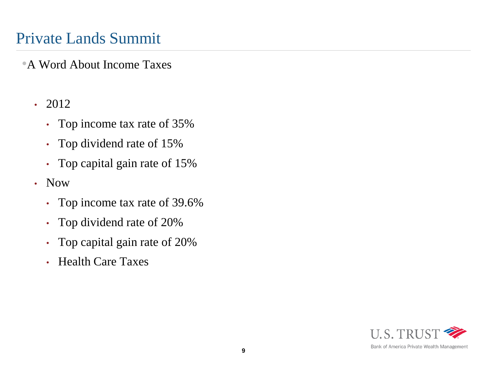# Private Lands Summit

•A Word About Income Taxes

- 2012
	- Top income tax rate of 35%
	- Top dividend rate of 15%
	- Top capital gain rate of 15%
- Now
	- Top income tax rate of 39.6%
	- Top dividend rate of 20%
	- Top capital gain rate of 20%
	- Health Care Taxes

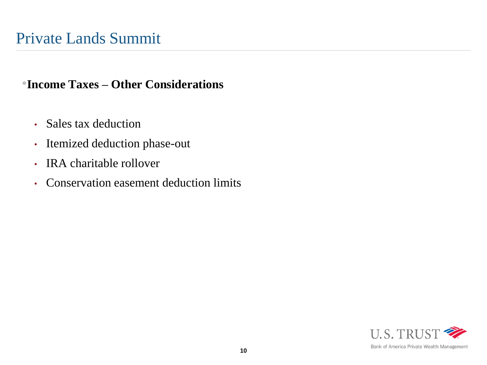•**Income Taxes – Other Considerations**

- Sales tax deduction
- Itemized deduction phase-out
- IRA charitable rollover
- Conservation easement deduction limits

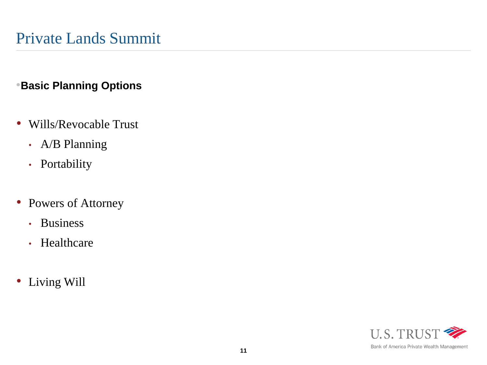#### •**Basic Planning Options**

- Wills/Revocable Trust
	- A/B Planning
	- Portability
- Powers of Attorney
	- Business
	- Healthcare
- Living Will

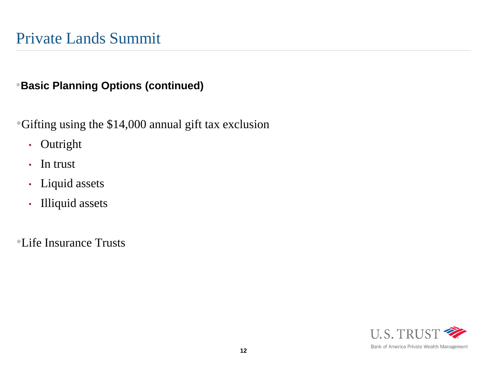#### •**Basic Planning Options (continued)**

•Gifting using the \$14,000 annual gift tax exclusion

- Outright
- In trust
- Liquid assets
- Illiquid assets

•Life Insurance Trusts

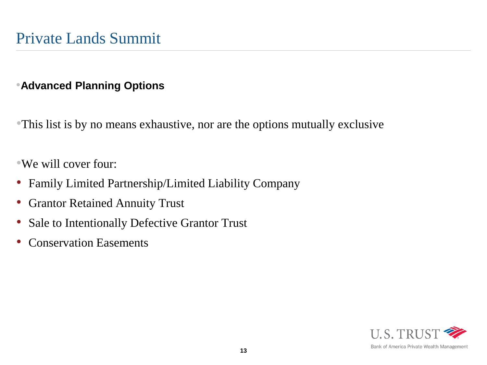#### •**Advanced Planning Options**

•This list is by no means exhaustive, nor are the options mutually exclusive

•We will cover four:

- Family Limited Partnership/Limited Liability Company
- Grantor Retained Annuity Trust
- Sale to Intentionally Defective Grantor Trust
- Conservation Easements

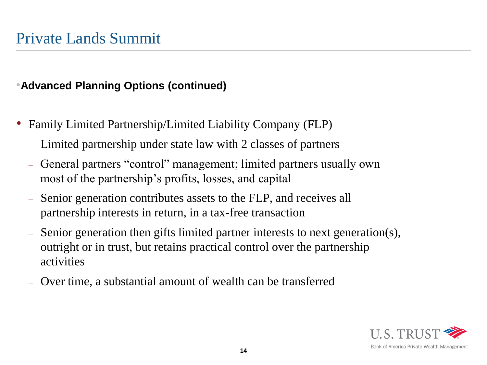- Family Limited Partnership/Limited Liability Company (FLP)
	- Limited partnership under state law with 2 classes of partners
	- General partners "control" management; limited partners usually own most of the partnership's profits, losses, and capital
	- Senior generation contributes assets to the FLP, and receives all partnership interests in return, in a tax-free transaction
	- Senior generation then gifts limited partner interests to next generation(s), outright or in trust, but retains practical control over the partnership activities
	- Over time, a substantial amount of wealth can be transferred

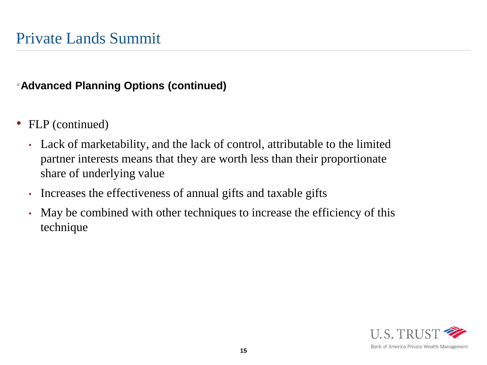- FLP (continued)
	- Lack of marketability, and the lack of control, attributable to the limited partner interests means that they are worth less than their proportionate share of underlying value
	- Increases the effectiveness of annual gifts and taxable gifts
	- May be combined with other techniques to increase the efficiency of this technique

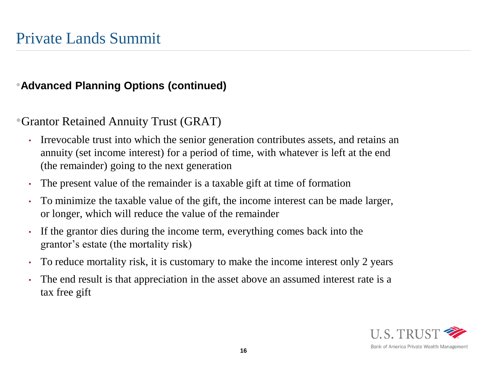•Grantor Retained Annuity Trust (GRAT)

- Irrevocable trust into which the senior generation contributes assets, and retains an annuity (set income interest) for a period of time, with whatever is left at the end (the remainder) going to the next generation
- The present value of the remainder is a taxable gift at time of formation
- To minimize the taxable value of the gift, the income interest can be made larger, or longer, which will reduce the value of the remainder
- If the grantor dies during the income term, everything comes back into the grantor's estate (the mortality risk)
- To reduce mortality risk, it is customary to make the income interest only 2 years
- The end result is that appreciation in the asset above an assumed interest rate is a tax free gift

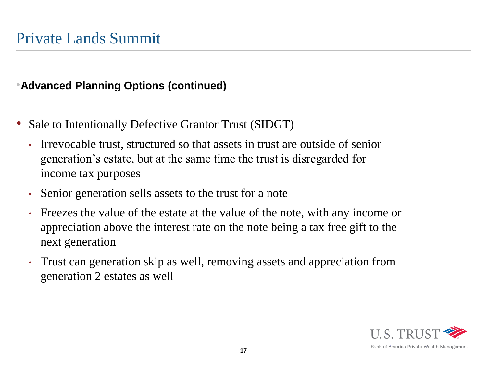- Sale to Intentionally Defective Grantor Trust (SIDGT)
	- Irrevocable trust, structured so that assets in trust are outside of senior generation's estate, but at the same time the trust is disregarded for income tax purposes
	- Senior generation sells assets to the trust for a note
	- Freezes the value of the estate at the value of the note, with any income or appreciation above the interest rate on the note being a tax free gift to the next generation
	- Trust can generation skip as well, removing assets and appreciation from generation 2 estates as well

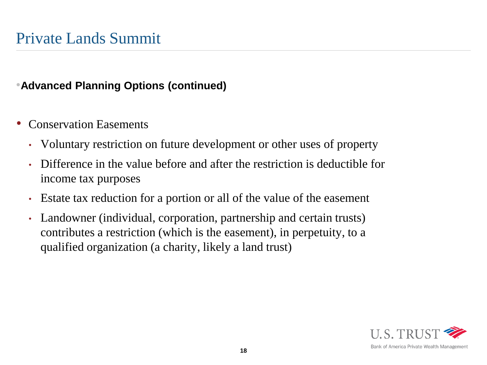- Conservation Easements
	- Voluntary restriction on future development or other uses of property
	- Difference in the value before and after the restriction is deductible for income tax purposes
	- Estate tax reduction for a portion or all of the value of the easement
	- Landowner (individual, corporation, partnership and certain trusts) contributes a restriction (which is the easement), in perpetuity, to a qualified organization (a charity, likely a land trust)

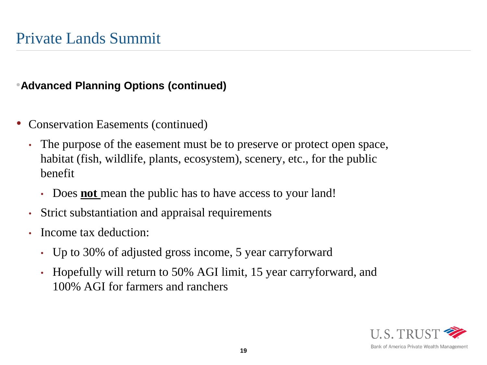- Conservation Easements (continued)
	- The purpose of the easement must be to preserve or protect open space, habitat (fish, wildlife, plants, ecosystem), scenery, etc., for the public benefit
		- Does **not** mean the public has to have access to your land!
	- Strict substantiation and appraisal requirements
	- Income tax deduction:
		- Up to 30% of adjusted gross income, 5 year carryforward
		- Hopefully will return to 50% AGI limit, 15 year carryforward, and 100% AGI for farmers and ranchers



Bank of America Private Wealth Management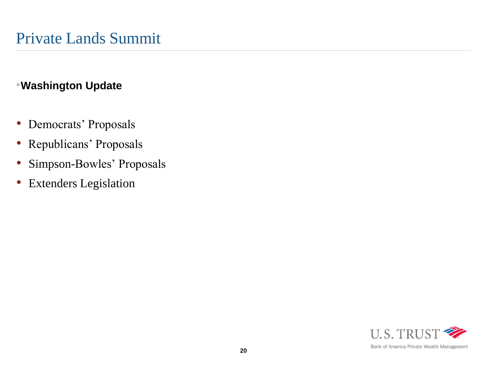#### •**Washington Update**

- Democrats' Proposals
- Republicans' Proposals
- Simpson-Bowles' Proposals
- Extenders Legislation